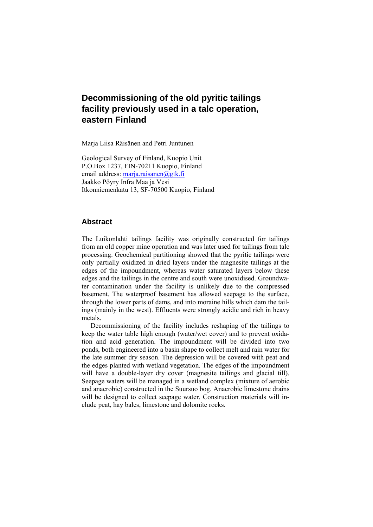Marja Liisa Räisänen and Petri Juntunen

Geological Survey of Finland, Kuopio Unit P.O.Box 1237, FIN-70211 Kuopio, Finland email address: marja.raisanen@gtk.fi Jaakko Pöyry Infra Maa ja Vesi Itkonniemenkatu 13, SF-70500 Kuopio, Finland

#### **Abstract**

The Luikonlahti tailings facility was originally constructed for tailings from an old copper mine operation and was later used for tailings from talc processing. Geochemical partitioning showed that the pyritic tailings were only partially oxidized in dried layers under the magnesite tailings at the edges of the impoundment, whereas water saturated layers below these edges and the tailings in the centre and south were unoxidised. Groundwater contamination under the facility is unlikely due to the compressed basement. The waterproof basement has allowed seepage to the surface, through the lower parts of dams, and into moraine hills which dam the tailings (mainly in the west). Effluents were strongly acidic and rich in heavy metals.

Decommissioning of the facility includes reshaping of the tailings to keep the water table high enough (water/wet cover) and to prevent oxidation and acid generation. The impoundment will be divided into two ponds, both engineered into a basin shape to collect melt and rain water for the late summer dry season. The depression will be covered with peat and the edges planted with wetland vegetation. The edges of the impoundment will have a double-layer dry cover (magnesite tailings and glacial till). Seepage waters will be managed in a wetland complex (mixture of aerobic and anaerobic) constructed in the Suursuo bog. Anaerobic limestone drains will be designed to collect seepage water. Construction materials will include peat, hay bales, limestone and dolomite rocks.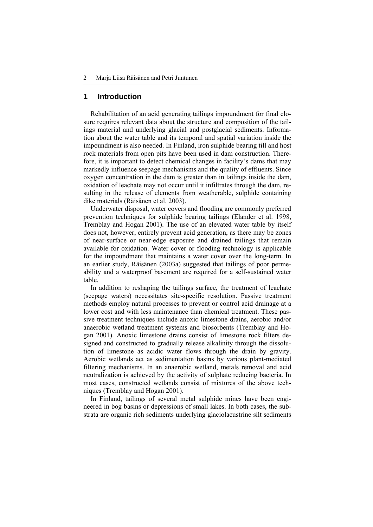# **1 Introduction**

Rehabilitation of an acid generating tailings impoundment for final closure requires relevant data about the structure and composition of the tailings material and underlying glacial and postglacial sediments. Information about the water table and its temporal and spatial variation inside the impoundment is also needed. In Finland, iron sulphide bearing till and host rock materials from open pits have been used in dam construction. Therefore, it is important to detect chemical changes in facility's dams that may markedly influence seepage mechanisms and the quality of effluents. Since oxygen concentration in the dam is greater than in tailings inside the dam, oxidation of leachate may not occur until it infiltrates through the dam, resulting in the release of elements from weatherable, sulphide containing dike materials (Räisänen et al. 2003).

Underwater disposal, water covers and flooding are commonly preferred prevention techniques for sulphide bearing tailings (Elander et al. 1998, Tremblay and Hogan 2001). The use of an elevated water table by itself does not, however, entirely prevent acid generation, as there may be zones of near-surface or near-edge exposure and drained tailings that remain available for oxidation. Water cover or flooding technology is applicable for the impoundment that maintains a water cover over the long-term. In an earlier study, Räisänen (2003a) suggested that tailings of poor permeability and a waterproof basement are required for a self-sustained water table.

In addition to reshaping the tailings surface, the treatment of leachate (seepage waters) necessitates site-specific resolution. Passive treatment methods employ natural processes to prevent or control acid drainage at a lower cost and with less maintenance than chemical treatment. These passive treatment techniques include anoxic limestone drains, aerobic and/or anaerobic wetland treatment systems and biosorbents (Tremblay and Hogan 2001). Anoxic limestone drains consist of limestone rock filters designed and constructed to gradually release alkalinity through the dissolution of limestone as acidic water flows through the drain by gravity. Aerobic wetlands act as sedimentation basins by various plant-mediated filtering mechanisms. In an anaerobic wetland, metals removal and acid neutralization is achieved by the activity of sulphate reducing bacteria. In most cases, constructed wetlands consist of mixtures of the above techniques (Tremblay and Hogan 2001).

In Finland, tailings of several metal sulphide mines have been engineered in bog basins or depressions of small lakes. In both cases, the substrata are organic rich sediments underlying glaciolacustrine silt sediments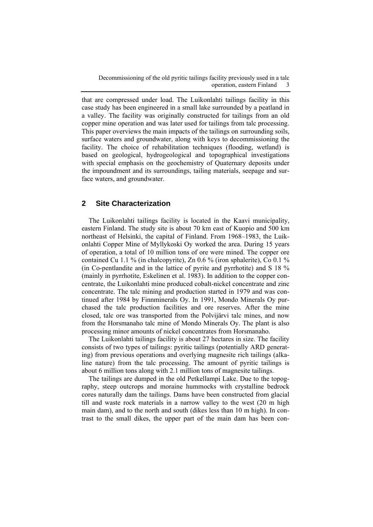that are compressed under load. The Luikonlahti tailings facility in this case study has been engineered in a small lake surrounded by a peatland in a valley. The facility was originally constructed for tailings from an old copper mine operation and was later used for tailings from talc processing. This paper overviews the main impacts of the tailings on surrounding soils, surface waters and groundwater, along with keys to decommissioning the facility. The choice of rehabilitation techniques (flooding, wetland) is based on geological, hydrogeological and topographical investigations with special emphasis on the geochemistry of Quaternary deposits under the impoundment and its surroundings, tailing materials, seepage and surface waters, and groundwater.

# **2 Site Characterization**

The Luikonlahti tailings facility is located in the Kaavi municipality, eastern Finland. The study site is about 70 km east of Kuopio and 500 km northeast of Helsinki, the capital of Finland. From 1968–1983, the Luikonlahti Copper Mine of Myllykoski Oy worked the area. During 15 years of operation, a total of 10 million tons of ore were mined. The copper ore contained Cu 1.1 % (in chalcopyrite), Zn 0.6 % (iron sphalerite), Co 0.1 % (in Co-pentlandite and in the lattice of pyrite and pyrrhotite) and S 18 % (mainly in pyrrhotite, Eskelinen et al. 1983). In addition to the copper concentrate, the Luikonlahti mine produced cobalt-nickel concentrate and zinc concentrate. The talc mining and production started in 1979 and was continued after 1984 by Finnminerals Oy. In 1991, Mondo Minerals Oy purchased the talc production facilities and ore reserves. After the mine closed, talc ore was transported from the Polvijärvi talc mines, and now from the Horsmanaho talc mine of Mondo Minerals Oy. The plant is also processing minor amounts of nickel concentrates from Horsmanaho.

The Luikonlahti tailings facility is about 27 hectares in size. The facility consists of two types of tailings: pyritic tailings (potentially ARD generating) from previous operations and overlying magnesite rich tailings (alkaline nature) from the talc processing. The amount of pyritic tailings is about 6 million tons along with 2.1 million tons of magnesite tailings.

The tailings are dumped in the old Petkellampi Lake. Due to the topography, steep outcrops and moraine hummocks with crystalline bedrock cores naturally dam the tailings. Dams have been constructed from glacial till and waste rock materials in a narrow valley to the west (20 m high main dam), and to the north and south (dikes less than 10 m high). In contrast to the small dikes, the upper part of the main dam has been con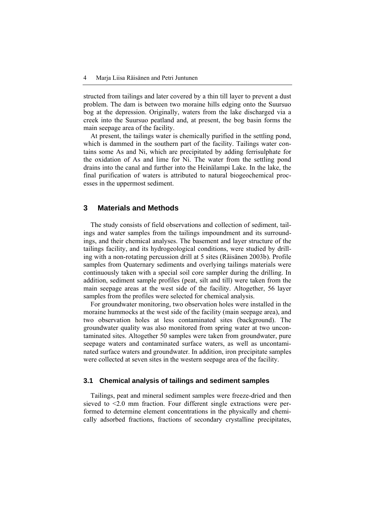structed from tailings and later covered by a thin till layer to prevent a dust problem. The dam is between two moraine hills edging onto the Suursuo bog at the depression. Originally, waters from the lake discharged via a creek into the Suursuo peatland and, at present, the bog basin forms the main seepage area of the facility.

At present, the tailings water is chemically purified in the settling pond, which is dammed in the southern part of the facility. Tailings water contains some As and Ni, which are precipitated by adding ferrisulphate for the oxidation of As and lime for Ni. The water from the settling pond drains into the canal and further into the Heinälampi Lake. In the lake, the final purification of waters is attributed to natural biogeochemical processes in the uppermost sediment.

#### **3 Materials and Methods**

The study consists of field observations and collection of sediment, tailings and water samples from the tailings impoundment and its surroundings, and their chemical analyses. The basement and layer structure of the tailings facility, and its hydrogeological conditions, were studied by drilling with a non-rotating percussion drill at 5 sites (Räisänen 2003b). Profile samples from Quaternary sediments and overlying tailings materials were continuously taken with a special soil core sampler during the drilling. In addition, sediment sample profiles (peat, silt and till) were taken from the main seepage areas at the west side of the facility. Altogether, 56 layer samples from the profiles were selected for chemical analysis.

For groundwater monitoring, two observation holes were installed in the moraine hummocks at the west side of the facility (main seepage area), and two observation holes at less contaminated sites (background). The groundwater quality was also monitored from spring water at two uncontaminated sites. Altogether 50 samples were taken from groundwater, pure seepage waters and contaminated surface waters, as well as uncontaminated surface waters and groundwater. In addition, iron precipitate samples were collected at seven sites in the western seepage area of the facility.

#### **3.1 Chemical analysis of tailings and sediment samples**

Tailings, peat and mineral sediment samples were freeze-dried and then sieved to <2.0 mm fraction. Four different single extractions were performed to determine element concentrations in the physically and chemically adsorbed fractions, fractions of secondary crystalline precipitates,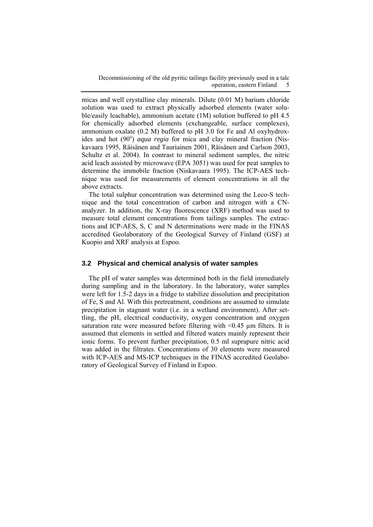micas and well crystalline clay minerals. Dilute (0.01 M) barium chloride solution was used to extract physically adsorbed elements (water soluble/easily leachable), ammonium acetate (1M) solution buffered to pH 4.5 for chemically adsorbed elements (exchangeable, surface complexes), ammonium oxalate (0.2 M) buffered to pH 3.0 for Fe and Al oxyhydroxides and hot (90°) *aqua regia* for mica and clay mineral fraction (Niskavaara 1995, Räisänen and Tauriainen 2001, Räisänen and Carlson 2003, Schultz et al. 2004). In contrast to mineral sediment samples, the nitric acid leach assisted by microwave (EPA 3051) was used for peat samples to determine the immobile fraction (Niskavaara 1995). The ICP-AES technique was used for measurements of element concentrations in all the above extracts.

The total sulphur concentration was determined using the Leco-S technique and the total concentration of carbon and nitrogen with a CNanalyzer. In addition, the X-ray fluorescence (XRF) method was used to measure total element concentrations from tailings samples. The extractions and ICP-AES, S, C and N determinations were made in the FINAS accredited Geolaboratory of the Geological Survey of Finland (GSF) at Kuopio and XRF analysis at Espoo.

#### **3.2 Physical and chemical analysis of water samples**

The pH of water samples was determined both in the field immediately during sampling and in the laboratory. In the laboratory, water samples were left for 1.5-2 days in a fridge to stabilize dissolution and precipitation of Fe, S and Al. With this pretreatment, conditions are assumed to simulate precipitation in stagnant water (i.e. in a wetland environment). After settling, the pH, electrical conductivity, oxygen concentration and oxygen saturation rate were measured before filtering with  $\leq 0.45$  µm filters. It is assumed that elements in settled and filtered waters mainly represent their ionic forms. To prevent further precipitation, 0.5 ml suprapure nitric acid was added in the filtrates. Concentrations of 30 elements were measured with ICP-AES and MS-ICP techniques in the FINAS accredited Geolaboratory of Geological Survey of Finland in Espoo.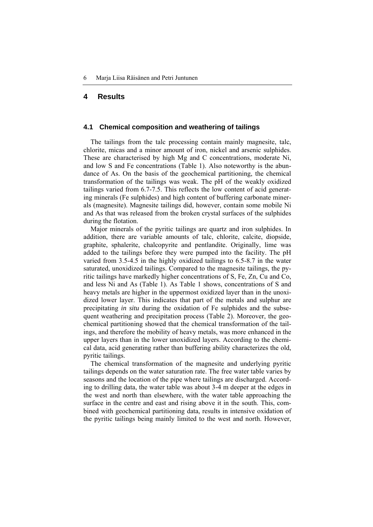### **4 Results**

#### **4.1 Chemical composition and weathering of tailings**

The tailings from the talc processing contain mainly magnesite, talc, chlorite, micas and a minor amount of iron, nickel and arsenic sulphides. These are characterised by high Mg and C concentrations, moderate Ni, and low S and Fe concentrations (Table 1). Also noteworthy is the abundance of As. On the basis of the geochemical partitioning, the chemical transformation of the tailings was weak. The pH of the weakly oxidized tailings varied from 6.7-7.5. This reflects the low content of acid generating minerals (Fe sulphides) and high content of buffering carbonate minerals (magnesite). Magnesite tailings did, however, contain some mobile Ni and As that was released from the broken crystal surfaces of the sulphides during the flotation.

Major minerals of the pyritic tailings are quartz and iron sulphides. In addition, there are variable amounts of talc, chlorite, calcite, diopside, graphite, sphalerite, chalcopyrite and pentlandite. Originally, lime was added to the tailings before they were pumped into the facility. The pH varied from 3.5-4.5 in the highly oxidized tailings to 6.5-8.7 in the water saturated, unoxidized tailings. Compared to the magnesite tailings, the pyritic tailings have markedly higher concentrations of S, Fe, Zn, Cu and Co, and less Ni and As (Table 1). As Table 1 shows, concentrations of S and heavy metals are higher in the uppermost oxidized layer than in the unoxidized lower layer. This indicates that part of the metals and sulphur are precipitating *in situ* during the oxidation of Fe sulphides and the subsequent weathering and precipitation process (Table 2). Moreover, the geochemical partitioning showed that the chemical transformation of the tailings, and therefore the mobility of heavy metals, was more enhanced in the upper layers than in the lower unoxidized layers. According to the chemical data, acid generating rather than buffering ability characterizes the old, pyritic tailings.

The chemical transformation of the magnesite and underlying pyritic tailings depends on the water saturation rate. The free water table varies by seasons and the location of the pipe where tailings are discharged. According to drilling data, the water table was about 3-4 m deeper at the edges in the west and north than elsewhere, with the water table approaching the surface in the centre and east and rising above it in the south. This, combined with geochemical partitioning data, results in intensive oxidation of the pyritic tailings being mainly limited to the west and north. However,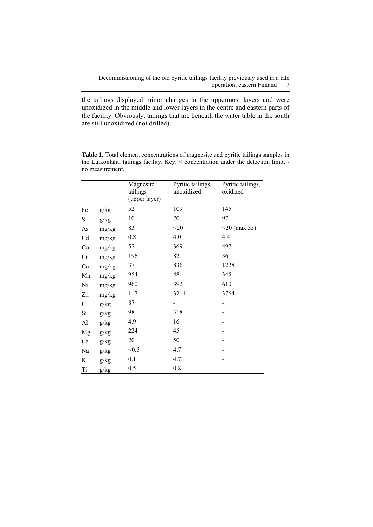the tailings displayed minor changes in the uppermost layers and were unoxidized in the middle and lower layers in the centre and eastern parts of the facility. Obviously, tailings that are beneath the water table in the south are still unoxidized (not drilled).

|             |       | Magnesite<br>tailings<br>(upper layer) | Pyritic tailings,<br>unoxidized | Pyritic tailings,<br>oxidized |
|-------------|-------|----------------------------------------|---------------------------------|-------------------------------|
| Fe          | g/kg  | 52                                     | 109                             | 145                           |
| ${\bf S}$   | g/kg  | 10                                     | 70                              | 97                            |
| As          | mg/kg | 83                                     | $<$ 20                          | $<$ 20 (max 35)               |
| Cd          | mg/kg | 0.8                                    | 4.0                             | 4.4                           |
| Co          | mg/kg | 57                                     | 369                             | 497                           |
| Cr          | mg/kg | 196                                    | 82                              | 36                            |
| Cu          | mg/kg | 37                                     | 836                             | 1228                          |
| Mn          | mg/kg | 954                                    | 481                             | 345                           |
| Ni          | mg/kg | 960                                    | 392                             | 610                           |
| Zn          | mg/kg | 117                                    | 3211                            | 3764                          |
| $\mathsf C$ | g/kg  | 87                                     |                                 |                               |
| Si          | g/kg  | 98                                     | 318                             |                               |
| Al          | g/kg  | 4.9                                    | 16                              |                               |
| Mg          | g/kg  | 224                                    | 45                              |                               |
| Ca          | g/kg  | 20                                     | 50                              |                               |
| Na          | g/kg  | < 0.5                                  | 4.7                             |                               |
| K           | g/kg  | 0.1                                    | 4.7                             |                               |
| Ti          | g/kg  | 0.5                                    | 0.8                             |                               |

**Table 1.** Total element concentrations of magnesite and pyritic tailings samples in the Luikonlahti tailings facility. Key: < concentration under the detection limit, no measurement.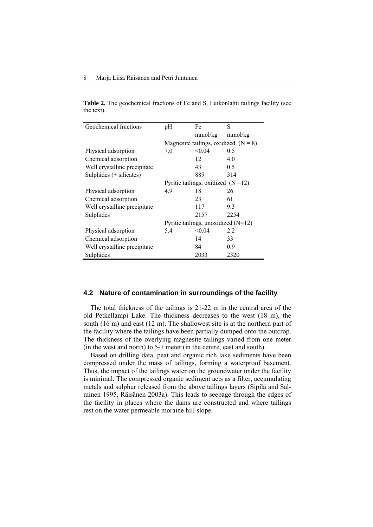**Table 2.** The geochemical fractions of Fe and S, Luikonlahti tailings facility (see the text).

| Geochemical fractions        | pH                                     | Fe      | S       |  |
|------------------------------|----------------------------------------|---------|---------|--|
|                              |                                        | mmol/kg | mmol/kg |  |
|                              | Magnesite tailings, oxidized $(N = 8)$ |         |         |  |
| Physical adsorption          | 7.0                                    | < 0.04  | 0.5     |  |
| Chemical adsorption          |                                        | 12      | 4.0     |  |
| Well crystalline precipitate |                                        | 43      | 0.5     |  |
| Sulphides (+ silicates)      |                                        | 889     | 314     |  |
|                              | Pyritic tailings, oxidized $(N=12)$    |         |         |  |
| Physical adsorption          | 4.9                                    | 18      | 26      |  |
| Chemical adsorption          |                                        | 23      | 61      |  |
| Well crystalline precipitate |                                        | 117     | 9.3     |  |
| Sulphides                    |                                        | 2157    | 2254    |  |
|                              | Pyritic tailings, unoxidized $(N=12)$  |         |         |  |
| Physical adsorption          | 5.4                                    | < 0.04  | 2.2     |  |
| Chemical adsorption          |                                        | 14      | 33      |  |
| Well crystalline precipitate |                                        | 84      | 0.9     |  |
| Sulphides                    |                                        | 2033    | 2320    |  |

#### **4.2 Nature of contamination in surroundings of the facility**

The total thickness of the tailings is 21-22 m in the central area of the old Petkellampi Lake. The thickness decreases to the west (18 m), the south (16 m) and east (12 m). The shallowest site is at the northern part of the facility where the tailings have been partially dumped onto the outcrop. The thickness of the overlying magnesite tailings varied from one meter (in the west and north) to 5-7 meter (in the centre, east and south).

Based on drilling data, peat and organic rich lake sediments have been compressed under the mass of tailings, forming a waterproof basement. Thus, the impact of the tailings water on the groundwater under the facility is minimal. The compressed organic sediment acts as a filter, accumulating metals and sulphur released from the above tailings layers (Sipilä and Salminen 1995, Räisänen 2003a). This leads to seepage through the edges of the facility in places where the dams are constructed and where tailings rest on the water permeable moraine hill slope.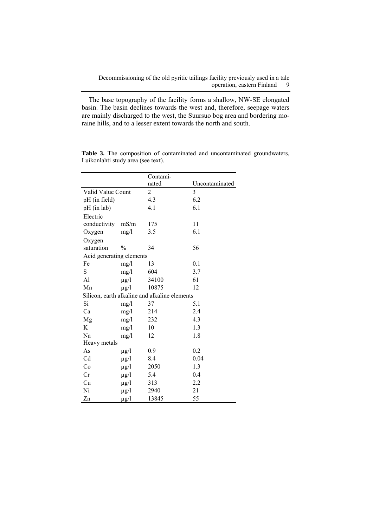The base topography of the facility forms a shallow, NW-SE elongated basin. The basin declines towards the west and, therefore, seepage waters are mainly discharged to the west, the Suursuo bog area and bordering moraine hills, and to a lesser extent towards the north and south.

|                          |               | Contami-                                      |                |  |  |
|--------------------------|---------------|-----------------------------------------------|----------------|--|--|
|                          |               | nated                                         | Uncontaminated |  |  |
| Valid Value Count        |               | 2                                             | 3              |  |  |
| pH (in field)            |               | 4.3                                           | 6.2            |  |  |
| pH (in lab)              |               | 4.1                                           | 6.1            |  |  |
| Electric                 |               |                                               |                |  |  |
| conductivity             | mS/m          | 175                                           | 11             |  |  |
| Oxygen                   | mg/1          | 3.5                                           | 6.1            |  |  |
| Oxygen                   |               |                                               |                |  |  |
| saturation               | $\frac{0}{0}$ | 34                                            | 56             |  |  |
| Acid generating elements |               |                                               |                |  |  |
| Fe                       | mg/l          | 13                                            | 0.1            |  |  |
| S                        | mg/l          | 604                                           | 3.7            |  |  |
| Al                       | $\mu$ g/l     | 34100                                         | 61             |  |  |
| Mn                       | $\mu$ g/l     | 10875                                         | 12             |  |  |
|                          |               | Silicon, earth alkaline and alkaline elements |                |  |  |
| Si                       | mg/l          | 37                                            | 5.1            |  |  |
| Ca                       | mg/1          | 214                                           | 2.4            |  |  |
| Mg                       | mg/1          | 232                                           | 4.3            |  |  |
| K                        | mg/1          | 10                                            | 1.3            |  |  |
| Na                       | mg/1          | 12                                            | 1.8            |  |  |
| Heavy metals             |               |                                               |                |  |  |
| As                       | $\mu$ g/l     | 0.9                                           | 0.2            |  |  |
| Cd                       | $\mu$ g/l     | 8.4                                           | 0.04           |  |  |
| Co                       | $\mu$ g/l     | 2050                                          | 1.3            |  |  |
| Cr                       | $\mu$ g/l     | 5.4                                           | 0.4            |  |  |
| Cu                       | $\mu$ g/l     | 313                                           | 2.2            |  |  |
| Ni                       | $\mu$ g/l     | 2940                                          | 21             |  |  |
| Zn                       | $\mu$ g/l     | 13845                                         | 55             |  |  |

**Table 3.** The composition of contaminated and uncontaminated groundwaters, Luikonlahti study area (see text).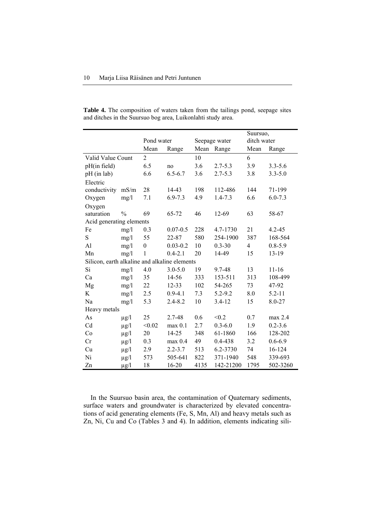|                                               |               |                  |              |               |             | Suursuo,    |             |
|-----------------------------------------------|---------------|------------------|--------------|---------------|-------------|-------------|-------------|
|                                               |               | Pond water       |              | Seepage water |             | ditch water |             |
|                                               |               | Mean             | Range        | Mean          | Range       | Mean        | Range       |
| Valid Value Count                             |               | $\overline{2}$   |              | 10            |             | 6           |             |
| pH(in field)                                  |               | 6.5              | no           | 3.6           | $2.7 - 5.3$ | 3.9         | $3.3 - 5.6$ |
| pH (in lab)                                   |               | 6.6              | $6.5 - 6.7$  | 3.6           | $2.7 - 5.3$ | 3.8         | $3.3 - 5.0$ |
| Electric                                      |               |                  |              |               |             |             |             |
| conductivity                                  | mS/m          | 28               | 14-43        | 198           | 112-486     | 144         | 71-199      |
| Oxygen                                        | mg/l          | 7.1              | $6.9 - 7.3$  | 4.9           | $1.4 - 7.3$ | 6.6         | $6.0 - 7.3$ |
| Oxygen                                        |               |                  |              |               |             |             |             |
| saturation                                    | $\frac{0}{0}$ | 69               | 65-72        | 46            | 12-69       | 63          | 58-67       |
| Acid generating elements                      |               |                  |              |               |             |             |             |
| Fe                                            | mg/1          | 0.3              | $0.07 - 0.5$ | 228           | 4.7-1730    | 21          | $4.2 - 45$  |
| S                                             | mg/1          | 55               | 22-87        | 580           | 254-1900    | 387         | 168-564     |
| Al                                            | mg/1          | $\boldsymbol{0}$ | $0.03 - 0.2$ | 10            | $0.3 - 30$  | 4           | $0.8 - 5.9$ |
| Mn                                            | mg/1          | 1                | $0.4 - 2.1$  | 20            | 14-49       | 15          | 13-19       |
| Silicon, earth alkaline and alkaline elements |               |                  |              |               |             |             |             |
| Si                                            | mg/l          | 4.0              | $3.0 - 5.0$  | 19            | 9.7-48      | 13          | $11 - 16$   |
| Ca                                            | mg/l          | 35               | 14-56        | 333           | 153-511     | 313         | 108-499     |
| Mg                                            | mg/1          | 22               | 12-33        | 102           | 54-265      | 73          | 47-92       |
| K                                             | mg/l          | 2.5              | $0.9 - 4.1$  | 7.3           | 5.2-9.2     | 8.0         | $5.2 - 11$  |
| Na                                            | mg/l          | 5.3              | $2.4 - 8.2$  | 10            | $3.4 - 12$  | 15          | 8.0-27      |
| Heavy metals                                  |               |                  |              |               |             |             |             |
| As                                            | $\mu$ g/l     | 25               | 2.7-48       | 0.6           | < 0.2       | 0.7         | max 2.4     |
| Cd                                            | $\mu$ g/l     | < 0.02           | max 0.1      | 2.7           | $0.3 - 6.0$ | 1.9         | $0.2 - 3.6$ |
| Co                                            | $\mu$ g/l     | 20               | 14-25        | 348           | 61-1860     | 166         | 128-202     |
| Cr                                            | $\mu$ g/l     | 0.3              | $max$ 0.4    | 49            | 0.4-438     | 3.2         | $0.6 - 6.9$ |
| Cu                                            | $\mu$ g/l     | 2.9              | $2.2 - 3.7$  | 513           | 6.2-3730    | 74          | 16-124      |
| Ni                                            | $\mu$ g/l     | 573              | 505-641      | 822           | 371-1940    | 548         | 339-693     |
| Zn                                            | $\mu$ g/l     | 18               | 16-20        | 4135          | 142-21200   | 1795        | 502-3260    |

**Table 4.** The composition of waters taken from the tailings pond, seepage sites and ditches in the Suursuo bog area, Luikonlahti study area.

In the Suursuo basin area, the contamination of Quaternary sediments, surface waters and groundwater is characterized by elevated concentrations of acid generating elements (Fe, S, Mn, Al) and heavy metals such as Zn, Ni, Cu and Co (Tables 3 and 4). In addition, elements indicating sili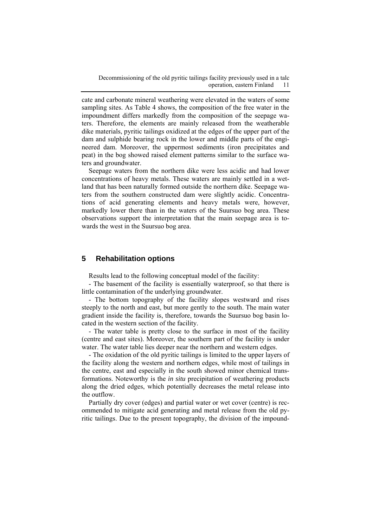cate and carbonate mineral weathering were elevated in the waters of some sampling sites. As Table 4 shows, the composition of the free water in the impoundment differs markedly from the composition of the seepage waters. Therefore, the elements are mainly released from the weatherable dike materials, pyritic tailings oxidized at the edges of the upper part of the dam and sulphide bearing rock in the lower and middle parts of the engineered dam. Moreover, the uppermost sediments (iron precipitates and peat) in the bog showed raised element patterns similar to the surface waters and groundwater.

Seepage waters from the northern dike were less acidic and had lower concentrations of heavy metals. These waters are mainly settled in a wetland that has been naturally formed outside the northern dike. Seepage waters from the southern constructed dam were slightly acidic. Concentrations of acid generating elements and heavy metals were, however, markedly lower there than in the waters of the Suursuo bog area. These observations support the interpretation that the main seepage area is towards the west in the Suursuo bog area.

### **5 Rehabilitation options**

Results lead to the following conceptual model of the facility:

- The basement of the facility is essentially waterproof, so that there is little contamination of the underlying groundwater.

- The bottom topography of the facility slopes westward and rises steeply to the north and east, but more gently to the south. The main water gradient inside the facility is, therefore, towards the Suursuo bog basin located in the western section of the facility.

- The water table is pretty close to the surface in most of the facility (centre and east sites). Moreover, the southern part of the facility is under water. The water table lies deeper near the northern and western edges.

- The oxidation of the old pyritic tailings is limited to the upper layers of the facility along the western and northern edges, while most of tailings in the centre, east and especially in the south showed minor chemical transformations. Noteworthy is the *in situ* precipitation of weathering products along the dried edges, which potentially decreases the metal release into the outflow.

Partially dry cover (edges) and partial water or wet cover (centre) is recommended to mitigate acid generating and metal release from the old pyritic tailings. Due to the present topography, the division of the impound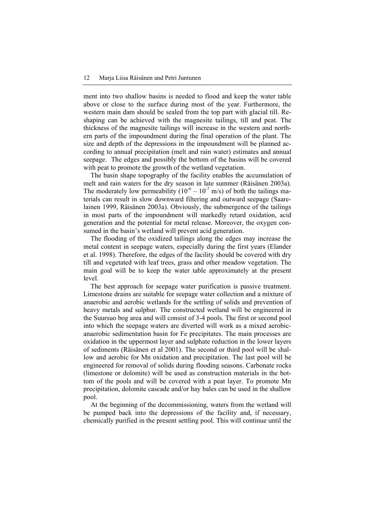ment into two shallow basins is needed to flood and keep the water table above or close to the surface during most of the year. Furthermore, the western main dam should be sealed from the top part with glacial till. Reshaping can be achieved with the magnesite tailings, till and peat. The thickness of the magnesite tailings will increase in the western and northern parts of the impoundment during the final operation of the plant. The size and depth of the depressions in the impoundment will be planned according to annual precipitation (melt and rain water) estimates and annual seepage. The edges and possibly the bottom of the basins will be covered with peat to promote the growth of the wetland vegetation.

The basin shape topography of the facility enables the accumulation of melt and rain waters for the dry season in late summer (Räisänen 2003a). The moderately low permeability  $(10^{-6} – 10^{-7} )$  m/s) of both the tailings materials can result in slow downward filtering and outward seepage (Saarelainen 1999, Räisänen 2003a). Obviously, the submergence of the tailings in most parts of the impoundment will markedly retard oxidation, acid generation and the potential for metal release. Moreover, the oxygen consumed in the basin's wetland will prevent acid generation.

The flooding of the oxidized tailings along the edges may increase the metal content in seepage waters, especially during the first years (Elander et al. 1998). Therefore, the edges of the facility should be covered with dry till and vegetated with leaf trees, grass and other meadow vegetation. The main goal will be to keep the water table approximately at the present level.

The best approach for seepage water purification is passive treatment. Limestone drains are suitable for seepage water collection and a mixture of anaerobic and aerobic wetlands for the settling of solids and prevention of heavy metals and sulphur. The constructed wetland will be engineered in the Suursuo bog area and will consist of 3-4 pools. The first or second pool into which the seepage waters are diverted will work as a mixed aerobicanaerobic sedimentation basin for Fe precipitates. The main processes are oxidation in the uppermost layer and sulphate reduction in the lower layers of sediments (Räisänen et al 2001). The second or third pool will be shallow and aerobic for Mn oxidation and precipitation. The last pool will be engineered for removal of solids during flooding seasons. Carbonate rocks (limestone or dolomite) will be used as construction materials in the bottom of the pools and will be covered with a peat layer. To promote Mn precipitation, dolomite cascade and/or hay bales can be used in the shallow pool.

At the beginning of the decommissioning, waters from the wetland will be pumped back into the depressions of the facility and, if necessary, chemically purified in the present settling pool. This will continue until the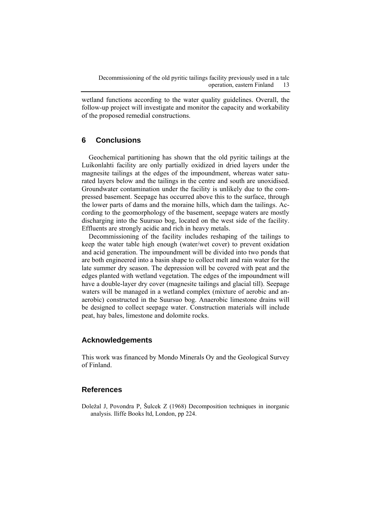wetland functions according to the water quality guidelines. Overall, the follow-up project will investigate and monitor the capacity and workability of the proposed remedial constructions.

## **6 Conclusions**

Geochemical partitioning has shown that the old pyritic tailings at the Luikonlahti facility are only partially oxidized in dried layers under the magnesite tailings at the edges of the impoundment, whereas water saturated layers below and the tailings in the centre and south are unoxidised. Groundwater contamination under the facility is unlikely due to the compressed basement. Seepage has occurred above this to the surface, through the lower parts of dams and the moraine hills, which dam the tailings. According to the geomorphology of the basement, seepage waters are mostly discharging into the Suursuo bog, located on the west side of the facility. Effluents are strongly acidic and rich in heavy metals.

Decommissioning of the facility includes reshaping of the tailings to keep the water table high enough (water/wet cover) to prevent oxidation and acid generation. The impoundment will be divided into two ponds that are both engineered into a basin shape to collect melt and rain water for the late summer dry season. The depression will be covered with peat and the edges planted with wetland vegetation. The edges of the impoundment will have a double-layer dry cover (magnesite tailings and glacial till). Seepage waters will be managed in a wetland complex (mixture of aerobic and anaerobic) constructed in the Suursuo bog. Anaerobic limestone drains will be designed to collect seepage water. Construction materials will include peat, hay bales, limestone and dolomite rocks.

## **Acknowledgements**

This work was financed by Mondo Minerals Oy and the Geological Survey of Finland.

### **References**

Doležal J, Povondra P, Šulcek Z (1968) Decomposition techniques in inorganic analysis. Iliffe Books ltd, London, pp 224.